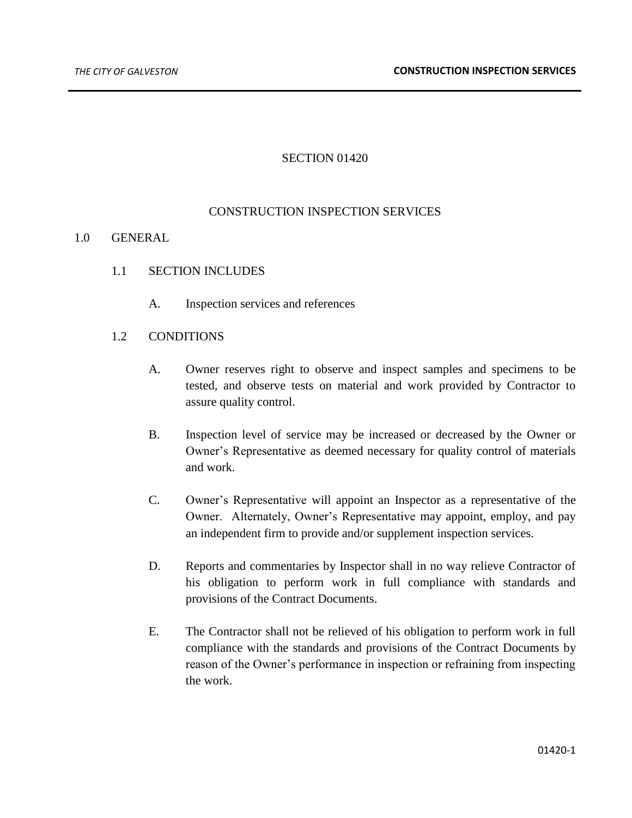### SECTION 01420

### CONSTRUCTION INSPECTION SERVICES

#### 1.0 GENERAL

- 1.1 SECTION INCLUDES
	- A. Inspection services and references

### 1.2 CONDITIONS

- A. Owner reserves right to observe and inspect samples and specimens to be tested, and observe tests on material and work provided by Contractor to assure quality control.
- B. Inspection level of service may be increased or decreased by the Owner or Owner's Representative as deemed necessary for quality control of materials and work.
- C. Owner's Representative will appoint an Inspector as a representative of the Owner. Alternately, Owner's Representative may appoint, employ, and pay an independent firm to provide and/or supplement inspection services.
- D. Reports and commentaries by Inspector shall in no way relieve Contractor of his obligation to perform work in full compliance with standards and provisions of the Contract Documents.
- E. The Contractor shall not be relieved of his obligation to perform work in full compliance with the standards and provisions of the Contract Documents by reason of the Owner's performance in inspection or refraining from inspecting the work.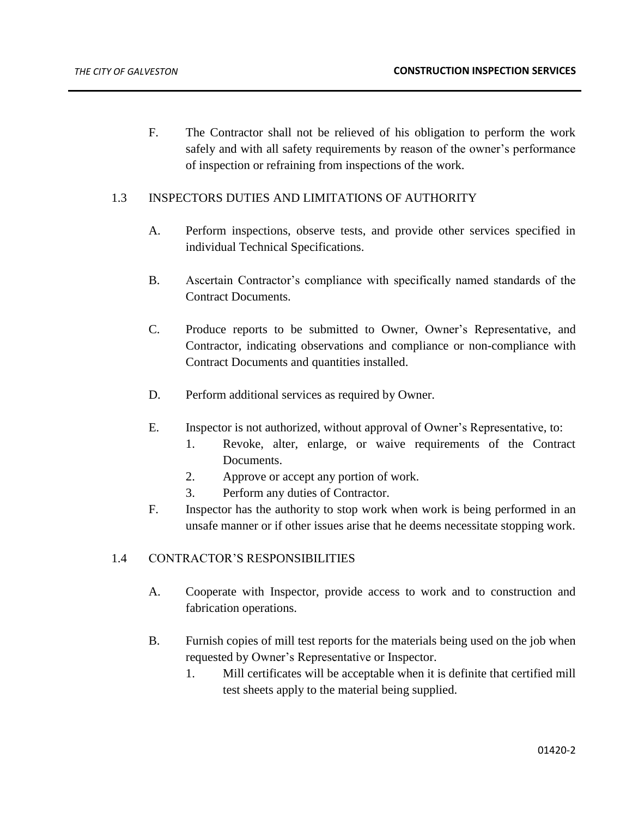F. The Contractor shall not be relieved of his obligation to perform the work safely and with all safety requirements by reason of the owner's performance of inspection or refraining from inspections of the work.

# 1.3 INSPECTORS DUTIES AND LIMITATIONS OF AUTHORITY

- A. Perform inspections, observe tests, and provide other services specified in individual Technical Specifications.
- B. Ascertain Contractor's compliance with specifically named standards of the Contract Documents.
- C. Produce reports to be submitted to Owner, Owner's Representative, and Contractor, indicating observations and compliance or non-compliance with Contract Documents and quantities installed.
- D. Perform additional services as required by Owner.
- E. Inspector is not authorized, without approval of Owner's Representative, to:
	- 1. Revoke, alter, enlarge, or waive requirements of the Contract Documents.
	- 2. Approve or accept any portion of work.
	- 3. Perform any duties of Contractor.
- F. Inspector has the authority to stop work when work is being performed in an unsafe manner or if other issues arise that he deems necessitate stopping work.

## 1.4 CONTRACTOR'S RESPONSIBILITIES

- A. Cooperate with Inspector, provide access to work and to construction and fabrication operations.
- B. Furnish copies of mill test reports for the materials being used on the job when requested by Owner's Representative or Inspector.
	- 1. Mill certificates will be acceptable when it is definite that certified mill test sheets apply to the material being supplied.